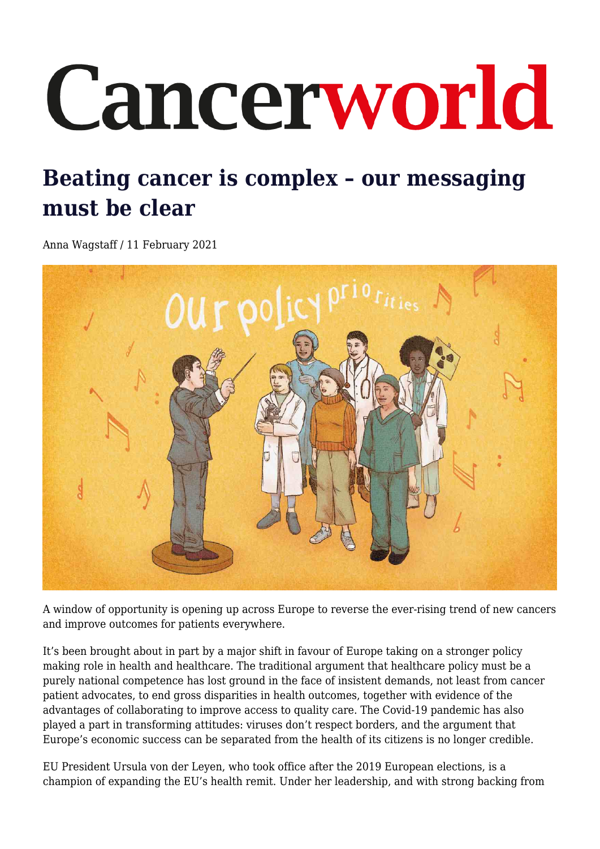# Cancerworld

# **Beating cancer is complex – our messaging must be clear**

Anna Wagstaff / 11 February 2021



A window of opportunity is opening up across Europe to reverse the ever-rising trend of new cancers and improve outcomes for patients everywhere.

It's been brought about in part by a major shift in favour of Europe taking on a stronger policy making role in health and healthcare. The traditional argument that healthcare policy must be a purely national competence has lost ground in the face of insistent demands, not least from cancer patient advocates, to end gross disparities in health outcomes, together with evidence of the advantages of collaborating to improve access to quality care. The Covid-19 pandemic has also played a part in transforming attitudes: viruses don't respect borders, and the argument that Europe's economic success can be separated from the health of its citizens is no longer credible.

EU President Ursula von der Leyen, who took office after the 2019 European elections, is a champion of expanding the EU's health remit. Under her leadership, and with strong backing from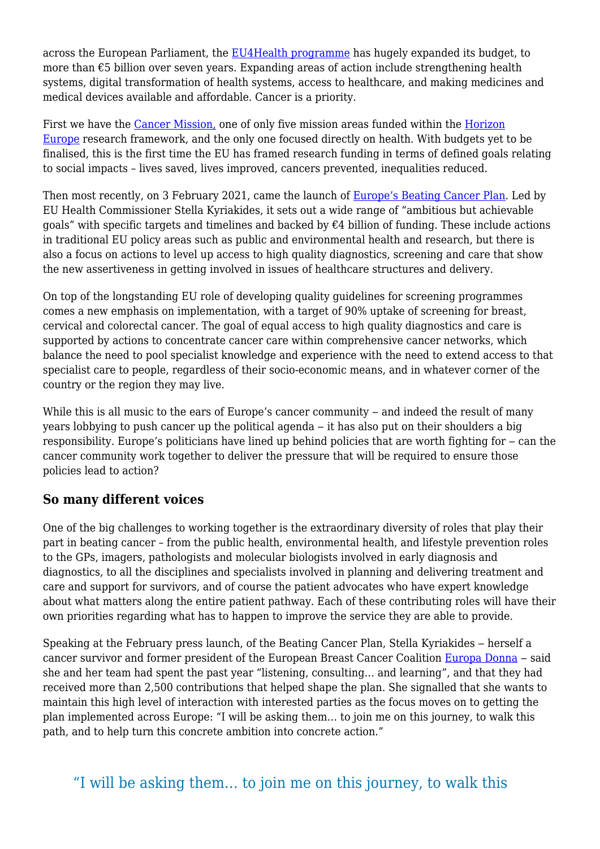across the European Parliament, the [EU4Health programme](https://ec.europa.eu/health/funding/eu4health_en) has hugely expanded its budget, to more than €5 billion over seven years. Expanding areas of action include strengthening health systems, digital transformation of health systems, access to healthcare, and making medicines and medical devices available and affordable. Cancer is a priority.

First we have the [Cancer Mission,](https://ec.europa.eu/info/horizon-europe/missions-horizon-europe/cancer_en#:~:text=Targets%20by%202030%3A%20more%20than,to%20the%20above%20across%20Europe.) one of only five mission areas funded within the [Horizon](https://ec.europa.eu/info/horizon-europe_en) [Europe](https://ec.europa.eu/info/horizon-europe_en) research framework, and the only one focused directly on health. With budgets yet to be finalised, this is the first time the EU has framed research funding in terms of defined goals relating to social impacts – lives saved, lives improved, cancers prevented, inequalities reduced.

Then most recently, on 3 February 2021, came the launch of [Europe's Beating Cancer Plan.](https://ec.europa.eu/health/sites/health/files/non_communicable_diseases/docs/eu_cancer-plan_en.pdf) Led by EU Health Commissioner Stella Kyriakides, it sets out a wide range of "ambitious but achievable goals" with specific targets and timelines and backed by  $\epsilon$ 4 billion of funding. These include actions in traditional EU policy areas such as public and environmental health and research, but there is also a focus on actions to level up access to high quality diagnostics, screening and care that show the new assertiveness in getting involved in issues of healthcare structures and delivery.

On top of the longstanding EU role of developing quality guidelines for screening programmes comes a new emphasis on implementation, with a target of 90% uptake of screening for breast, cervical and colorectal cancer. The goal of equal access to high quality diagnostics and care is supported by actions to concentrate cancer care within comprehensive cancer networks, which balance the need to pool specialist knowledge and experience with the need to extend access to that specialist care to people, regardless of their socio-economic means, and in whatever corner of the country or the region they may live.

While this is all music to the ears of Europe's cancer community  $-$  and indeed the result of many years lobbying to push cancer up the political agenda – it has also put on their shoulders a big responsibility. Europe's politicians have lined up behind policies that are worth fighting for – can the cancer community work together to deliver the pressure that will be required to ensure those policies lead to action?

#### **So many different voices**

One of the big challenges to working together is the extraordinary diversity of roles that play their part in beating cancer – from the public health, environmental health, and lifestyle prevention roles to the GPs, imagers, pathologists and molecular biologists involved in early diagnosis and diagnostics, to all the disciplines and specialists involved in planning and delivering treatment and care and support for survivors, and of course the patient advocates who have expert knowledge about what matters along the entire patient pathway. Each of these contributing roles will have their own priorities regarding what has to happen to improve the service they are able to provide.

Speaking at the February press launch, of the Beating Cancer Plan, Stella Kyriakides – herself a cancer survivor and former president of the European Breast Cancer Coalition [Europa Donna](https://www.europadonna.org/) - said she and her team had spent the past year "listening, consulting… and learning", and that they had received more than 2,500 contributions that helped shape the plan. She signalled that she wants to maintain this high level of interaction with interested parties as the focus moves on to getting the plan implemented across Europe: "I will be asking them… to join me on this journey, to walk this path, and to help turn this concrete ambition into concrete action."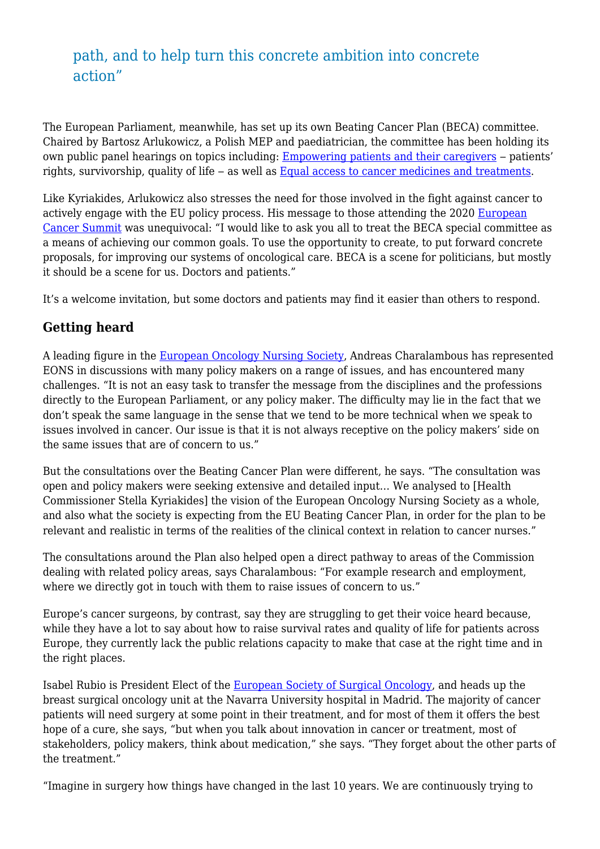### path, and to help turn this concrete ambition into concrete action"

The European Parliament, meanwhile, has set up its own Beating Cancer Plan (BECA) committee. Chaired by Bartosz Arlukowicz, a Polish MEP and paediatrician, the committee has been holding its own public panel hearings on topics including: **Empowering patients and their caregivers** – patients' rights, survivorship, quality of life – as well as [Equal access to cancer medicines and treatments](https://www.europarl.europa.eu/committees/en/public-hearing-mind-the-gap-for-equal-ac/product-details/20210119CHE08124).

Like Kyriakides, Arlukowicz also stresses the need for those involved in the fight against cancer to actively engage with the EU policy process. His message to those attending the 2020 [European](https://www.europeancancer.org/summit) [Cancer Summit](https://www.europeancancer.org/summit) was unequivocal: "I would like to ask you all to treat the BECA special committee as a means of achieving our common goals. To use the opportunity to create, to put forward concrete proposals, for improving our systems of oncological care. BECA is a scene for politicians, but mostly it should be a scene for us. Doctors and patients."

It's a welcome invitation, but some doctors and patients may find it easier than others to respond.

#### **Getting heard**

A leading figure in the [European Oncology Nursing Society](https://cancernurse.eu/), Andreas Charalambous has represented EONS in discussions with many policy makers on a range of issues, and has encountered many challenges. "It is not an easy task to transfer the message from the disciplines and the professions directly to the European Parliament, or any policy maker. The difficulty may lie in the fact that we don't speak the same language in the sense that we tend to be more technical when we speak to issues involved in cancer. Our issue is that it is not always receptive on the policy makers' side on the same issues that are of concern to us."

But the consultations over the Beating Cancer Plan were different, he says. "The consultation was open and policy makers were seeking extensive and detailed input… We analysed to [Health Commissioner Stella Kyriakides] the vision of the European Oncology Nursing Society as a whole, and also what the society is expecting from the EU Beating Cancer Plan, in order for the plan to be relevant and realistic in terms of the realities of the clinical context in relation to cancer nurses."

The consultations around the Plan also helped open a direct pathway to areas of the Commission dealing with related policy areas, says Charalambous: "For example research and employment, where we directly got in touch with them to raise issues of concern to us."

Europe's cancer surgeons, by contrast, say they are struggling to get their voice heard because, while they have a lot to say about how to raise survival rates and quality of life for patients across Europe, they currently lack the public relations capacity to make that case at the right time and in the right places.

Isabel Rubio is President Elect of the [European Society of Surgical Oncology,](https://www.essoweb.org/) and heads up the breast surgical oncology unit at the Navarra University hospital in Madrid. The majority of cancer patients will need surgery at some point in their treatment, and for most of them it offers the best hope of a cure, she says, "but when you talk about innovation in cancer or treatment, most of stakeholders, policy makers, think about medication," she says. "They forget about the other parts of the treatment."

"Imagine in surgery how things have changed in the last 10 years. We are continuously trying to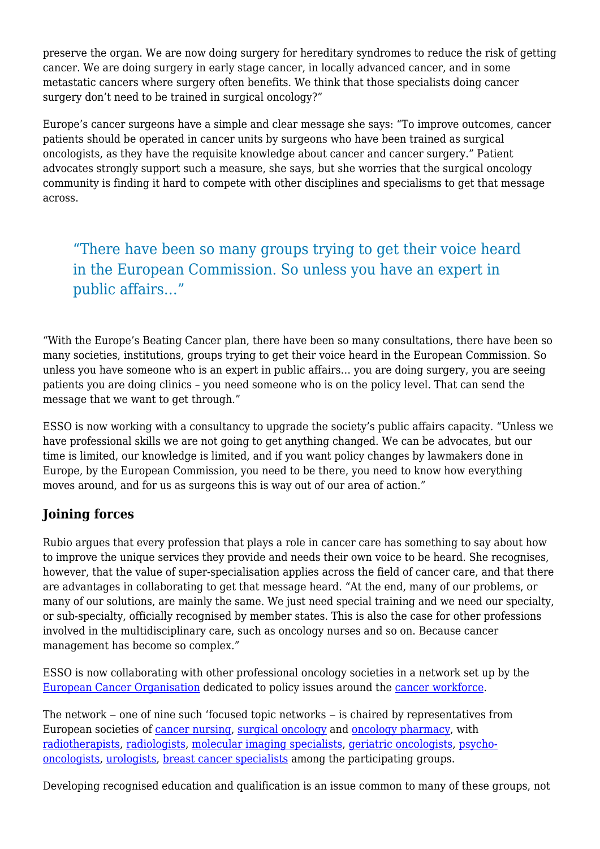preserve the organ. We are now doing surgery for hereditary syndromes to reduce the risk of getting cancer. We are doing surgery in early stage cancer, in locally advanced cancer, and in some metastatic cancers where surgery often benefits. We think that those specialists doing cancer surgery don't need to be trained in surgical oncology?"

Europe's cancer surgeons have a simple and clear message she says: "To improve outcomes, cancer patients should be operated in cancer units by surgeons who have been trained as surgical oncologists, as they have the requisite knowledge about cancer and cancer surgery." Patient advocates strongly support such a measure, she says, but she worries that the surgical oncology community is finding it hard to compete with other disciplines and specialisms to get that message across.

"There have been so many groups trying to get their voice heard in the European Commission. So unless you have an expert in public affairs…"

"With the Europe's Beating Cancer plan, there have been so many consultations, there have been so many societies, institutions, groups trying to get their voice heard in the European Commission. So unless you have someone who is an expert in public affairs… you are doing surgery, you are seeing patients you are doing clinics – you need someone who is on the policy level. That can send the message that we want to get through."

ESSO is now working with a consultancy to upgrade the society's public affairs capacity. "Unless we have professional skills we are not going to get anything changed. We can be advocates, but our time is limited, our knowledge is limited, and if you want policy changes by lawmakers done in Europe, by the European Commission, you need to be there, you need to know how everything moves around, and for us as surgeons this is way out of our area of action."

#### **Joining forces**

Rubio argues that every profession that plays a role in cancer care has something to say about how to improve the unique services they provide and needs their own voice to be heard. She recognises, however, that the value of super-specialisation applies across the field of cancer care, and that there are advantages in collaborating to get that message heard. "At the end, many of our problems, or many of our solutions, are mainly the same. We just need special training and we need our specialty, or sub-specialty, officially recognised by member states. This is also the case for other professions involved in the multidisciplinary care, such as oncology nurses and so on. Because cancer management has become so complex."

ESSO is now collaborating with other professional oncology societies in a network set up by the [European Cancer Organisation](https://www.europeancancer.org/) dedicated to policy issues around the [cancer workforce](https://www.europeancancer.org/topic-networks/8:workforce.html).

The network – one of nine such 'focused topic networks – is chaired by representatives from European societies of [cancer nursing,](https://cancernurse.eu/) [surgical oncology](https://www.essoweb.org/) and [oncology pharmacy,](https://esop.li/) with [radiotherapists](https://www.estro.org/), [radiologists](https://www.myesr.org/), [molecular imaging specialists,](https://www.eshi-society.org/) [geriatric oncologists](https://www.siog.org/), [psycho](https://ipos-society.org/)[oncologists](https://ipos-society.org/), [urologists](https://uroweb.org/), [breast cancer specialists](https://www.eusoma.org/) among the participating groups.

Developing recognised education and qualification is an issue common to many of these groups, not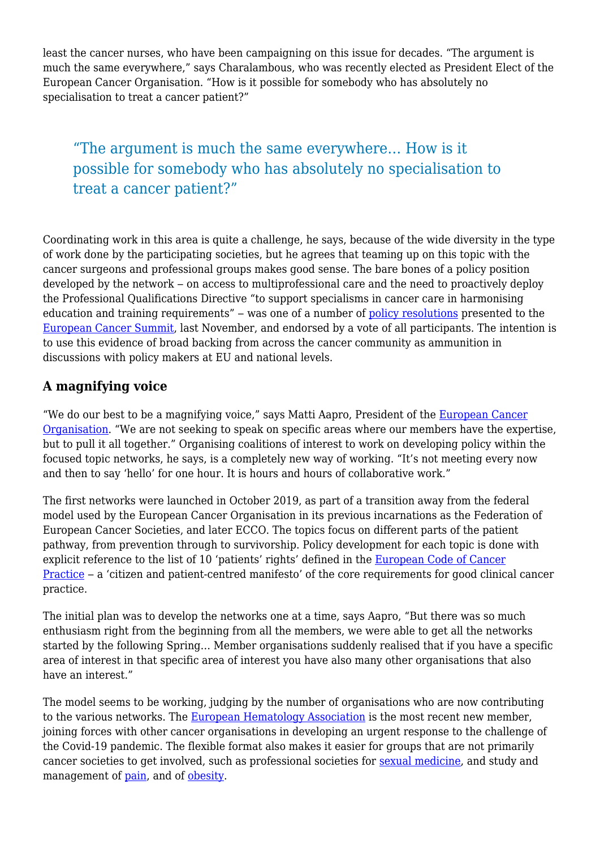least the cancer nurses, who have been campaigning on this issue for decades. "The argument is much the same everywhere," says Charalambous, who was recently elected as President Elect of the European Cancer Organisation. "How is it possible for somebody who has absolutely no specialisation to treat a cancer patient?"

## "The argument is much the same everywhere… How is it possible for somebody who has absolutely no specialisation to treat a cancer patient?"

Coordinating work in this area is quite a challenge, he says, because of the wide diversity in the type of work done by the participating societies, but he agrees that teaming up on this topic with the cancer surgeons and professional groups makes good sense. The bare bones of a policy position developed by the network – on access to multiprofessional care and the need to proactively deploy the Professional Qualifications Directive "to support specialisms in cancer care in harmonising education and training requirements" – was one of a number of [policy resolutions](https://www.europeancancer.org/summit#resolutions) presented to the [European Cancer Summit,](https://www.europeancancer.org/summit) last November, and endorsed by a vote of all participants. The intention is to use this evidence of broad backing from across the cancer community as ammunition in discussions with policy makers at EU and national levels.

#### **A magnifying voice**

"We do our best to be a magnifying voice," says Matti Aapro, President of the **[European Cancer](https://www.europeancancer.org/)** [Organisation.](https://www.europeancancer.org/) "We are not seeking to speak on specific areas where our members have the expertise, but to pull it all together." Organising coalitions of interest to work on developing policy within the focused topic networks, he says, is a completely new way of working. "It's not meeting every now and then to say 'hello' for one hour. It is hours and hours of collaborative work."

The first networks were launched in October 2019, as part of a transition away from the federal model used by the European Cancer Organisation in its previous incarnations as the Federation of European Cancer Societies, and later ECCO. The topics focus on different parts of the patient pathway, from prevention through to survivorship. Policy development for each topic is done with explicit reference to the list of 10 'patients' rights' defined in the [European Code of Cancer](https://www.europeancancer.org/2-standard/66-european-code-of-cancer-practice) [Practice](https://www.europeancancer.org/2-standard/66-european-code-of-cancer-practice) – a 'citizen and patient-centred manifesto' of the core requirements for good clinical cancer practice.

The initial plan was to develop the networks one at a time, says Aapro, "But there was so much enthusiasm right from the beginning from all the members, we were able to get all the networks started by the following Spring… Member organisations suddenly realised that if you have a specific area of interest in that specific area of interest you have also many other organisations that also have an interest."

The model seems to be working, judging by the number of organisations who are now contributing to the various networks. The [European Hematology Association](https://ehaweb.org/) is the most recent new member, joining forces with other cancer organisations in developing an urgent response to the challenge of the Covid-19 pandemic. The flexible format also makes it easier for groups that are not primarily cancer societies to get involved, such as professional societies for [sexual medicine](https://www.essm.org/), and study and management of [pain,](https://europeanpainfederation.eu/) and of [obesity](https://easo.org/).